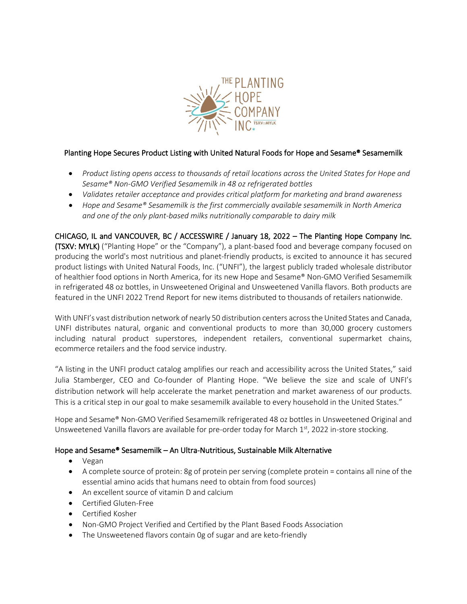

## Planting Hope Secures Product Listing with United Natural Foods for Hope and Sesame® Sesamemilk

- *Product listing opens access to thousands of retail locations across the United States for Hope and Sesame® Non-GMO Verified Sesamemilk in 48 oz refrigerated bottles*
- *Validates retailer acceptance and provides critical platform for marketing and brand awareness*
- *Hope and Sesame® Sesamemilk is the first commercially available sesamemilk in North America and one of the only plant-based milks nutritionally comparable to dairy milk*

CHICAGO, IL and VANCOUVER, BC / ACCESSWIRE / January 18, 2022 – The Planting Hope Company Inc. (TSXV: MYLK) ("Planting Hope" or the "Company"), a plant-based food and beverage company focused on producing the world's most nutritious and planet-friendly products, is excited to announce it has secured product listings with United Natural Foods, Inc. ("UNFI"), the largest publicly traded wholesale distributor of healthier food options in North America, for its new Hope and Sesame® Non-GMO Verified Sesamemilk in refrigerated 48 oz bottles, in Unsweetened Original and Unsweetened Vanilla flavors. Both products are featured in the UNFI 2022 Trend Report for new items distributed to thousands of retailers nationwide.

With UNFI's vast distribution network of nearly 50 distribution centers across the United States and Canada, UNFI distributes natural, organic and conventional products to more than 30,000 grocery customers including natural product superstores, independent retailers, conventional supermarket chains, ecommerce retailers and the food service industry.

"A listing in the UNFI product catalog amplifies our reach and accessibility across the United States," said Julia Stamberger, CEO and Co-founder of Planting Hope. "We believe the size and scale of UNFI's distribution network will help accelerate the market penetration and market awareness of our products. This is a critical step in our goal to make sesamemilk available to every household in the United States."

Hope and Sesame® Non-GMO Verified Sesamemilk refrigerated 48 oz bottles in Unsweetened Original and Unsweetened Vanilla flavors are available for pre-order today for March 1st, 2022 in-store stocking.

## Hope and Sesame® Sesamemilk – An Ultra-Nutritious, Sustainable Milk Alternative

- Vegan
- A complete source of protein: 8g of protein per serving (complete protein = contains all nine of the essential amino acids that humans need to obtain from food sources)
- An excellent source of vitamin D and calcium
- Certified Gluten-Free
- Certified Kosher
- Non-GMO Project Verified and Certified by the Plant Based Foods Association
- The Unsweetened flavors contain 0g of sugar and are keto-friendly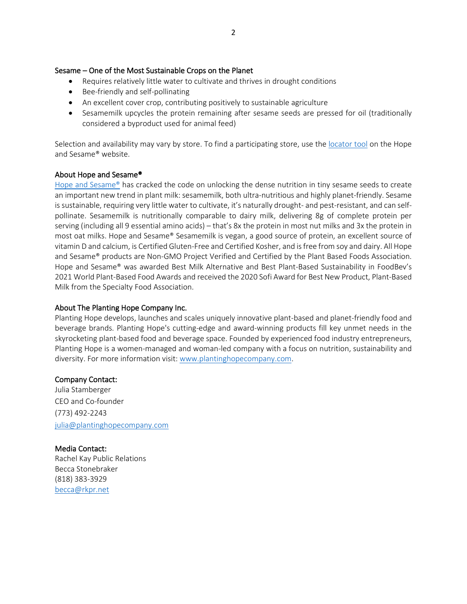#### Sesame – One of the Most Sustainable Crops on the Planet

- Requires relatively little water to cultivate and thrives in drought conditions
- Bee-friendly and self-pollinating
- An excellent cover crop, contributing positively to sustainable agriculture
- Sesamemilk upcycles the protein remaining after sesame seeds are pressed for oil (traditionally considered a byproduct used for animal feed)

Selection and availability may vary by store. To find a participating store, use the [locator tool](https://hopeandsesame.com/pages/store-locator) on the Hope and Sesame® website.

#### About Hope and Sesame®

[Hope and Sesame®](https://www.hopeandsesame.com/) has cracked the code on unlocking the dense nutrition in tiny sesame seeds to create an important new trend in plant milk: sesamemilk, both ultra-nutritious and highly planet-friendly. Sesame is sustainable, requiring very little water to cultivate, it's naturally drought- and pest-resistant, and can selfpollinate. Sesamemilk is nutritionally comparable to dairy milk, delivering 8g of complete protein per serving (including all 9 essential amino acids) – that's 8x the protein in most nut milks and 3x the protein in most oat milks. Hope and Sesame® Sesamemilk is vegan, a good source of protein, an excellent source of vitamin D and calcium, is Certified Gluten-Free and Certified Kosher, and is free from soy and dairy. All Hope and Sesame® products are Non-GMO Project Verified and Certified by the Plant Based Foods Association. Hope and Sesame® was awarded Best Milk Alternative and Best Plant-Based Sustainability in FoodBev's 2021 World Plant-Based Food Awards and received the 2020 Sofi Award for Best New Product, Plant-Based Milk from the Specialty Food Association.

## About The Planting Hope Company Inc.

Planting Hope develops, launches and scales uniquely innovative plant-based and planet-friendly food and beverage brands. Planting Hope's cutting-edge and award-winning products fill key unmet needs in the skyrocketing plant-based food and beverage space. Founded by experienced food industry entrepreneurs, Planting Hope is a women-managed and woman-led company with a focus on nutrition, sustainability and diversity. For more information visit[: www.plantinghopecompany.com.](http://www.plantinghopecompany.com/)

## Company Contact:

Julia Stamberger CEO and Co-founder (773) 492-2243 [julia@plantinghopecompany.com](mailto:julia@plantinghopecompany.com)

Media Contact: Rachel Kay Public Relations Becca Stonebraker (818) 383-3929 [becca@rkpr.net](mailto:becca@rkpr.net)